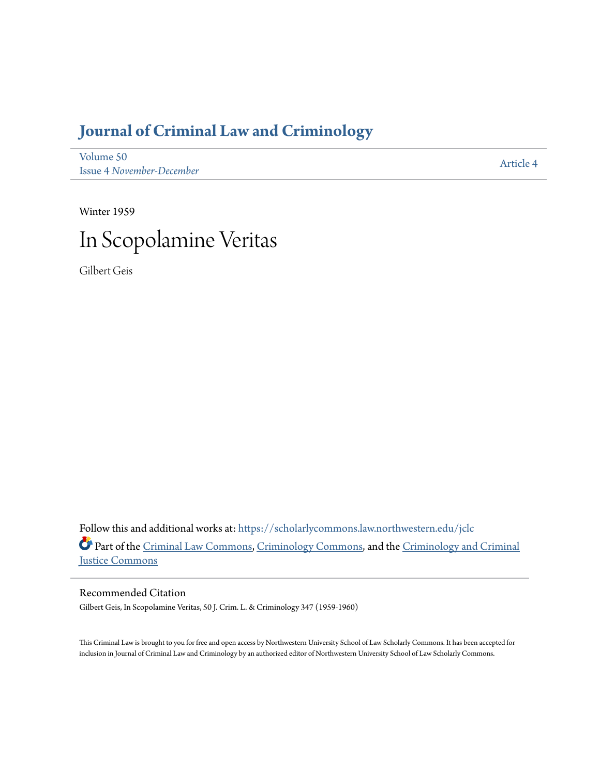# **[Journal of Criminal Law and Criminology](https://scholarlycommons.law.northwestern.edu/jclc?utm_source=scholarlycommons.law.northwestern.edu%2Fjclc%2Fvol50%2Fiss4%2F4&utm_medium=PDF&utm_campaign=PDFCoverPages)**

[Volume 50](https://scholarlycommons.law.northwestern.edu/jclc/vol50?utm_source=scholarlycommons.law.northwestern.edu%2Fjclc%2Fvol50%2Fiss4%2F4&utm_medium=PDF&utm_campaign=PDFCoverPages) Issue 4 *[November-December](https://scholarlycommons.law.northwestern.edu/jclc/vol50/iss4?utm_source=scholarlycommons.law.northwestern.edu%2Fjclc%2Fvol50%2Fiss4%2F4&utm_medium=PDF&utm_campaign=PDFCoverPages)*

[Article 4](https://scholarlycommons.law.northwestern.edu/jclc/vol50/iss4/4?utm_source=scholarlycommons.law.northwestern.edu%2Fjclc%2Fvol50%2Fiss4%2F4&utm_medium=PDF&utm_campaign=PDFCoverPages)

Winter 1959



Gilbert Geis

Follow this and additional works at: [https://scholarlycommons.law.northwestern.edu/jclc](https://scholarlycommons.law.northwestern.edu/jclc?utm_source=scholarlycommons.law.northwestern.edu%2Fjclc%2Fvol50%2Fiss4%2F4&utm_medium=PDF&utm_campaign=PDFCoverPages) Part of the [Criminal Law Commons](http://network.bepress.com/hgg/discipline/912?utm_source=scholarlycommons.law.northwestern.edu%2Fjclc%2Fvol50%2Fiss4%2F4&utm_medium=PDF&utm_campaign=PDFCoverPages), [Criminology Commons](http://network.bepress.com/hgg/discipline/417?utm_source=scholarlycommons.law.northwestern.edu%2Fjclc%2Fvol50%2Fiss4%2F4&utm_medium=PDF&utm_campaign=PDFCoverPages), and the [Criminology and Criminal](http://network.bepress.com/hgg/discipline/367?utm_source=scholarlycommons.law.northwestern.edu%2Fjclc%2Fvol50%2Fiss4%2F4&utm_medium=PDF&utm_campaign=PDFCoverPages) [Justice Commons](http://network.bepress.com/hgg/discipline/367?utm_source=scholarlycommons.law.northwestern.edu%2Fjclc%2Fvol50%2Fiss4%2F4&utm_medium=PDF&utm_campaign=PDFCoverPages)

Recommended Citation

Gilbert Geis, In Scopolamine Veritas, 50 J. Crim. L. & Criminology 347 (1959-1960)

This Criminal Law is brought to you for free and open access by Northwestern University School of Law Scholarly Commons. It has been accepted for inclusion in Journal of Criminal Law and Criminology by an authorized editor of Northwestern University School of Law Scholarly Commons.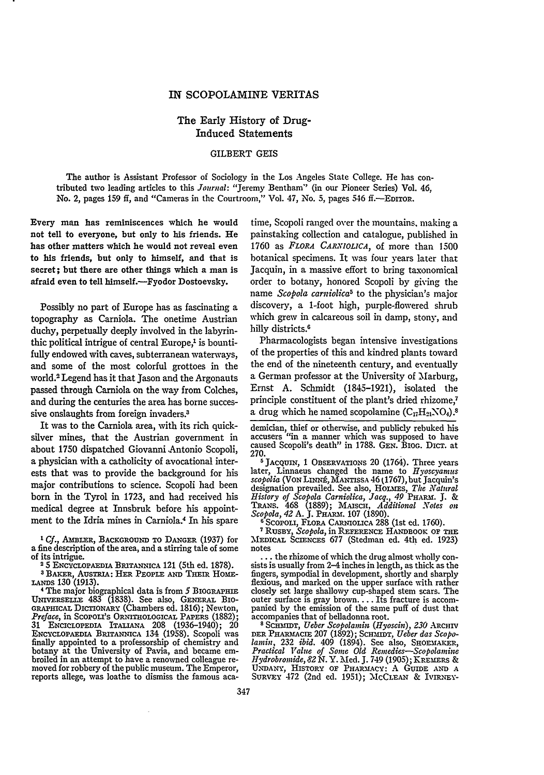### IN SCOPOLAMINE VERITAS

## The Early History of Drug-Induced Statements

## GILBERT GEIS

The author is Assistant Professor of Sociology in the Los Angeles State College. He has contributed two leading articles to this *Journal:* "Jeremy Bentham" (in our Pioneer Series) Vol. 46, No. 2, pages 159 ff, and "Cameras in the Courtroom," Vol. 47, No. 5, pages 546 ff.--EDITOR.

Every man has reminiscences which he would not tell to everyone, but only to his friends. He has other matters which he would not reveal even to his friends, but only to himself, and that is secret; but there are other things which a man is afraid even to tell himself.-Fvodor Dostoevsky.

Possibly no part of Europe has as fascinating a topography as Carniola. The onetime Austrian duchy, perpetually deeply involved in the labyrinthic political intrigue of central Europe,<sup>1</sup> is bountifully endowed with caves, subterranean waterways, and some of the most colorful grottoes in the world.2 Legend has it that Jason and the Argonauts passed through Carniola on the way from Colches, and during the centuries the area has borne successive onslaughts from foreign invaders.<sup>3</sup>

It was to the Carniola area, with its rich quicksilver mines, that the Austrian government in about 1750 dispatched Giovanni Antonio Scopoli, a physician with a catholicity of avocational interests that was to provide the background for his major contributions to science. Scopoli had been born in the Tyrol in 1723, and had received his medical degree at Innsbruk before his appointment to the Idria mines in Carniola.4 In his spare

*<sup>I</sup>Cf.,* AMBLER, **BACKGROUND TO DANGER** (1937) for **<sup>a</sup>**fine description of the area, and a stirring tale of some of its intrigue. **<sup>25</sup>**ENCYCLOPAEDIA **BRITANNICA** 121 (5th ed. **1878).**

**3** BAKER, AusTIA: HER PEOPLE **AND THEIR** HOME-**LANDS** 130 (1913).

4 The major biographical data is from *5* **BIOGRAPHIE** UNIvERsErE~ 483 **(1838).** See also, **GENERAL** Bio-**GRAPHICAL DICTIONARY** (Chambers ed. **1816);** Newton, Preface, in SCOPOLI'S ORNITHOLOGICAL PAPERS (1882); **31** ENCICLOPEDIA **ITAILAiIA 208** (1936-1940); 20 **ENCYCLOPAEDIA BRITANNICA** 134 **(1958).** Scopoli was finally appointed to a professorship of chemistry and finally appointed to a professorship of chemistry and botany at the University of Pavia, and became em-<br>broiled in an attempt to have a renowned colleague re-<br>moved for robbery of the public museum. The Emperor, reports allege, was loathe to dismiss the famous aca-

time, Scopoli ranged over the mountains, making a painstaking collection and catalogue, published in 1760 as *FLORA CARNIOLICA,* of more than 1500 botanical specimens. It was four years later that Jacquin, in a massive effort to bring taxonomical order to botany, honored Scopoli by giving the name *Scopola carniolica5* to the physician's major discovery, a 1-foot high, purple-flowered shrub which grew in calcareous soil in damp, stony, and hilly districts.<sup>6</sup>

Pharmacologists began intensive investigations of the properties of this and kindred plants toward the end of the nineteenth century, and eventually a German professor at the University of Marburg, Ernst A. Schmidt (1845-1921), isolated the principle constituent of the plant's dried rhizome,7 a drug which he named scopolamine  $(C_{17}H_{21}NO_4)$ .

demician, thief or otherwise, and publicly rebuked his accusers "in a manner which was supposed to have<br>caused Scopoli's death'' in 1788. GEN. BIOG. DICT. at

270. **6 JACQUIN, 1** OBSERVATIONS 20 (1764). Three years later, Linnaeus changed the name to *Hyoscyamus* later, Linnaeus changed the name to Hyoscyamus scopolia (VON LINNE, MANTISSA 46 (1767), but Jacquin's designation prevailed. See also, Hormes, *The Natural*<br>*History of Scopola Carniolica, Jacq., 49* PHARM. J. &<br>TRANS. 468 (1889); MAISCH, *Additional Notes on*<br>*Scopola, 42* A. J. PHARM. 107 (1890).

**<sup>6</sup>**Scopoui, FLORA CARNiOLiCA 288 (1st ed. **1760). 7RUSBY,** *Scopola,* in **REFERENCE** HANDBOOK **OF THE MEDICAL** SCIENCES 677 (Stedman ed. 4th ed. 1923)

... the rhizome of which the drug almost wholly consists is usually from 2-4 inches in length, as thick as the fingers, sympodial in development, shortly and sharply flexious, and marked on the upper surface with rather closely set large shallowy cup-shaped stem scars. The outer surface is gray brown.... Its fracture is accom-panied by the emission of the same puff of dust that accompanies that of belladonna root.

**8** Sc I'mT, *Ueber Scopolamin (Hyoscin), 230* ARCHrv DER **PHARM CE 207 (1892); SCHMIDT,** *Ueber das Scopo-lamin,* **232** *ibid.* 409 (1894). See also, **SHOEMAKER,** *Practical Value of Some Old Remedies-Scopolamine Hydrobromide, 82 N.* Y. Med. J. 749 (1905); **KREXMERS** & **UNDANY,** HISTORY OF PHARMACY: A GuIDE **AND A** SuRvEY 472 (2nd ed. **1951);** McCLEAN & **IvrRNEy-**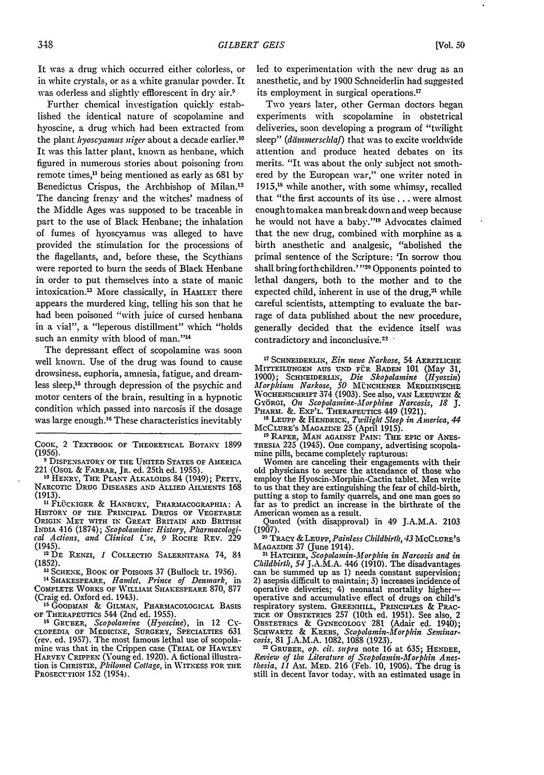It was a drug which occurred either colorless, or in white crystals, or as a white granular powder. It was oderless and slightly efflorescent in dry air.<sup>9</sup>

Further chemical investigation quickly established the identical nature of scopolamine and hyoscine, a drug which had been extracted from the plant *kyoscyarnus niger* about a decade earlier." It was this latter plant, known as henbane, which figured in numerous stories about poisoning from remote times,<sup>11</sup> being mentioned as early as 681 by Benedictus Crispus, the Archbishop of Milan.<sup>12</sup> The dancing frenzy and the witches' madness of the Middle Ages was supposed to be traceable in part to the use of Black Henbane; the inhalation of fumes of hyoscyamus was alleged to have provided the stimulation for the processions of the flagellants, and, before these, the Scythians were reported to burn the seeds of Black Henbane in order to put themselves into a state of manic intoxication.<sup>13</sup> More classically, in HAMLET there appears the murdered king, telling his son that he had been poisoned "with juice of cursed henbana in a vial", a "leperous distillment" which "holds such an enmity with blood of man."<sup>14</sup>

The depressant effect of scopolamine was soon well known. Use of the drug was found to cause drowsiness, euphoria, amnesia, fatigue, and dreamless sleep,15 through depression of the psychic and motor centers of the brain, resulting in a hypnotic condition which passed into narcosis if the dosage was large enough.<sup>16</sup> These characteristics inevitably

**COOK,** 2 TEXTBOOK OF THEORETICAL BOTANY 1899 (1956).

**9** DISPENSATORY OF THE UNITED STATES Or AMERICA 221 (OsoL & FARRAR, JR. ed. 25th ed. 1955).

**'0** HENRY, **THE** PLANr **ALKALOIDS** 84 (1949); PETrY, NARCOTIC DRUG DISEASES AND ALLIED AILMENTS 168 (1913).

<sup>11</sup> Flückiger & Hanbury, Pharmacographia: A<br>History of the Principal Drugs of Vegetable ORIGIN **MET** WITH IN GREAT BRITAIN **AND BRITISH** INDIA 416 (1874); *Scopolamine: History, Pharnacologi- cal Actions, and Clinical LUse, 9* ROCHE REV. 229 (1945).

1 <sup>2</sup> DE RENZI, *I* COLLECTIO SALERNITANA *74,* **8\_ (1852).**

**11** SCHENK, BOOK OF POISONS 37 (Bullock tr. 1956).

**<sup>14</sup>**SHAKESPEARE, *Handet, Prince of Dennark,* in COMPLETE WORKS OF WILLIAM SHAKESPEARE 870, 877 (Craig ed. Oxford ed. 1943).

**11** GOODMAN & GILMAN, PHARMACOLOGICAL BASIS **OF** THERAPEUTICS 544 (2nd ed. 1955). **16** GRUBER, *Scopolamine (Hyoscine),* in 12 **CY-**

CLOPEDIA OF **MEDICINE,** SURGERY, SPECIALTIES 631 (rev. ed. 1957). The most famous lethal use of scopolamine was that in the Crippen case (TRIAL OF HAWLEY HARVEY CRIPPEN (Young ed. 1920). A fictional illustra-tion is CHRISTIE, *Philomel Cottage,* in WITNESS FOR THE **PROSECUTION** 152 (1954).

led to experimentation with the new drug as an anesthetic, and by 1900 Schneiderlin had suggested its employment in surgical operations.<sup>17</sup>

Two years later, other German doctors began experiments with scopolamine in obstetrical deliveries, soon developing a program of "twilight sleep" *(dämmerschlaf)* that was to excite worldwide attention and produce heated debates on its merits. "It was about the only subject not smothered by the European war," one writer noted in 1915,<sup>18</sup> while another, with some whimsy, recalled that "the first accounts of its use . . . were almost enough to make a man break down and weep because he would not have a baby."<sup>19</sup> Advocates claimed that the new drug, combined with morphine as a birth anesthetic and analgesic, "abolished the primal sentence of the Scripture: 'In sorrow thou shall bring forth children.'"<sup>20</sup> Opponents pointed to lethal dangers, both to the mother and to the expected child, inherent in use of the drug,<sup>21</sup> while careful scientists, attempting to evaluate the barrage of data published about the new procedure, generally decided that the evidence itself was contradictory and inconclusive.<sup>22</sup>

**1 <sup>7</sup>**SCHNEIDERLIN, *Ein nene Narkose,* 54 **AERZTLICHE** MITTEILUNGEN **AUS** UND FUR BADEN **101** (May 31, 1900); SCHNMIDERLL-, *Die Skopolamine (Hyoszin) Mforphium Narkose, 50* M'NCHENER **MEDIZINISCHE** WOCHENSCHRIFT 374 (1903). See also, van Leeuwen &<br>Györgi, *On Scopolamine-Morphine Narcosis, 18* J.<br>PHARM. &. Exp'l. THERAPEUTICS 449 (1921).

**"1** LEUPP **&** HENDRICK, *Twilight Sleep in America, 44* **MCCLURE'S** MAGAZrNE 25 (April 1915).

**19** RAPER, MAN **AGAINST** PAIN: THE EPIC OF ANES-THESIA 225 (1945). One company, advertising scopolamine pills, became completely rapturous:

Women are canceling their engagements With their old physicians to secure the attendance of those who employ the Hyoscin-Morphin-Cactin tablet. Men write to us that they are extinguishing the fear of child-birth, putting a stop to family quarrels, and one man goes so far as to predict an increase in the birthrate of the American women as a result.

Quoted (with disapproval) in 49 J.A.M.A. **2103**  $(1907).$ 

<sup>0</sup>**TRACY &LEUPP,** *Painless Childbirth, 43* **MCCLURE'S**

<sup>21</sup> HATCHER, *Scopolamin-Morphin in Narcosis and in Childbirth, 54* J.A.M.A. 446 (1910). The disadvantages can be summed up as **1)** needs constant supervision; 2) asepsis difficult to maintain; 3) increases incidence of operative deliveries; 4) neonatal mortality higher- operative and accumulative effect of drugs on child's respiratory system. GREENHILL, PRINCIPLES & PRAC-TICE OF OBSTETRICS 257 (10th ed. 1951). See also, 2 **TICE** OF OBSTETRICS 257 (10th ed. 1951). See also, 2 OBSTETRICS & GYNECOLOGY 281 (Adair ed. 1940); SCHWARTZ & KREBS, *Scopolamin-Morphin Seminar-cosis,* 81 J.A.M.A. 1082, 1088 (1923).

<sup>22</sup> GRUBER, *op. cit. supra* note 16 at 635; HENDEE, Review of the Literature of Scopolamin-Morphin Anes-<br>*thesia, 11* Am. MED. 216 (Feb. 10, 1906). The drug is still in decent favor today, with an estimated usage in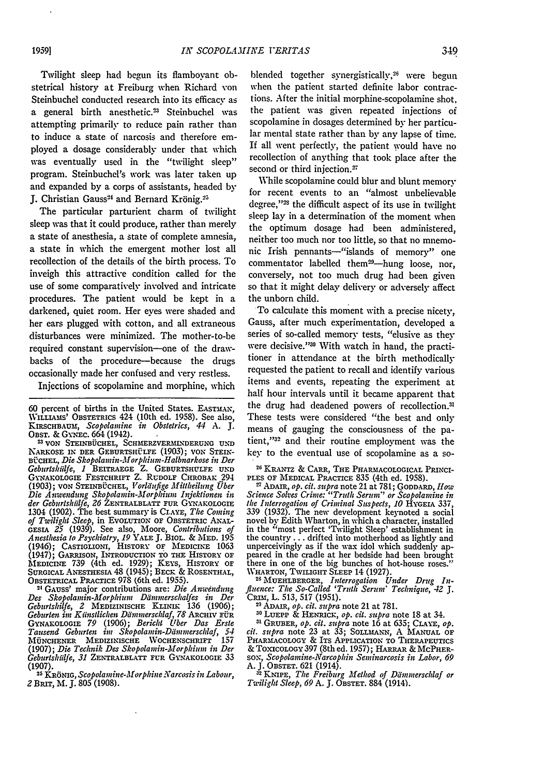Twilight sleep had begun its flamboyant obstetrical history at Freiburg when Richard von Steinbuchel conducted research into its efficacy as a general birth anesthetic.<sup>23</sup> Steinbuchel was attempting primarily to reduce pain rather than to induce a state of narcosis and therefore employed a dosage considerably under that which was eventually used in the "twilight sleep" program. Steinbuchel's work was later taken up and expanded by a corps of assistants, headed by J. Christian Gauss<sup>24</sup> and Bernard Krönig.<sup>2</sup>

The particular parturient charm of twilight sleep was that it could produce, rather than merely a state of anesthesia, a state of complete amnesia, a state in which the emergent mother lost all recollection of the details of the birth process. To inveigh this attractive condition called for the use of some comparatively involved and intricate procedures. The patient would be kept in a darkened, quiet room. Her eves were shaded and her cars plugged with cotton, and all extraneous disturbances were minimized. The mother-to-be required constant supervision-one of the drawbacks of the procedure-because the drugs occasionally made her confused and very restless.

Injections of scopolamine and morphine, which

**60** percent of births in the United States. EASTMAN, WILLIAMS' OBSTETRICS 424 (10th ed. 1958). See also, KIRSCHBAUM, *Scopolamine in Obstetrics*, 44 A. J.<br>OBST. & GYNEC. 664 (1942).

OBST. **&** GxNEc. 664(1942). **<sup>2</sup> VON STEINBUCHEL,** SCHMERZVERMLNDERUNG **UND** NARK OsE IN DER GEBURTSHELFE **(1903);** vON STEIN-BÜCHEL, Die Skopolamin-Morphium-Halbnarkose in Der *Geburtshiilfe, 1* BEITRAEGE Z. **GEBURTSHULFE UND** GYNAKOLOGIE FESTCHRIFT Z. RUDOLF CHROBAK 294 **(1903);** vON STEINB-cHIEL, *Vorldufige M1illheilung Uber Die Anwendung Skopolanin-Morphium Injektionen in der Geburishiilfe, 26* ZENTRALBLATT FUR GYNAKOLOGIE 1304 (1902). The best summary is CLAYE, *The Coming* of Twilight Sleep, in Evolution of Obstetric Anal-<br>GESIA 25 (1939). See also, Moore, Contributions of<br>Anesthesia to Psychiatry, 19 YALE J. BIOL. & MED. 195<br>(1946); CASTIGLIONI, HISTORY OF MEDICINE 1063 (1947); GARRISON, INTRODUCTION TO **THE** HISTORY OF MEDICINE 739 (4th ed. 1929); KEYS, HISTORY **OF SURGICAL ANESTHESIA** 48 (1945); BECK & ROSENTHAL, OBSTETRICAL PRACTICE 978 (6th ed. 1955). <sup>21</sup>GAUSS' major contributions are: *Die Anwendung*

*Des Skopolamin-Morphium Ddimmerschalfes in Der Geburtshilfe, 2* MEDIZINISCHE KiINIK **136** (1906); *Geburten im Kiinstlichen Dantinerschlaf, 78* ARCHIV IFR GYNAXOLOGiE *79* (1906); *Bericht Uber* Dis *Erste Tausend Geburten im Skopolamin-Ddiimmerschlaf, 54* **MUJNCHENER MEDIZINISCHE** WOCHENSCHRIFT **157 (1907);** *Die Technik Des Skopolamin-Morphium in Der Geburishiilfe, 31* ZENTRALBLATT FUR **G.AKOLOGIE** 33 **(1907).**

**<sup>25</sup>**KR6NIG, *Scopolamine-Morphine N-arcosis in Labour, <sup>2</sup>*BRIr, M. J. 805 (1908).

blended together synergistically,<sup>26</sup> were begun when the patient started definite labor contractions. After the initial morphine-scopolamine shot, the patient was given repeated injections of scopolamine in dosages determined by her particular mental state rather than by any lapse of time. If all went perfectly, the patient would have no recollection of anything that took place after the second or third injection.<sup>27</sup>

While scopolamine could blur and blunt memory for recent events to an "almost unbelievable degree,"<sup>23</sup> the difficult aspect of its use in twilight sleep lay in a determination of the moment when the optimum dosage had been administered, neither too much nor too little, so that no mnemonic Irish pennants-"islands of memory" one commentator labelled them<sup>29</sup>-hung loose, nor, conversely, not too much drug had been given so that it might delay delivery or adversely affect the unborn child.

To calculate this moment with a precise nicety, Gauss, after much experimentation, developed a series of so-called memory tests, "elusive as they were decisive."<sup>30</sup> With watch in hand, the practitioner in attendance at the birth methodically requested the patient to recall and identify various items and events, repeating the experiment at half hour intervals until it became apparent that the drug had deadened powers of recollection.31 These tests were considered "the best and only means of gauging the consciousness of the patient,"32 and their routine employment was the key to the eventual use of scopolamine as a so-

26 KRANTZ *&* CARR, THE PHARMACOLOGICAL PRINCI-PLES OF MEDICAL PRACTICE **835** (4th ed. 1958).

2, ADAIR, *op. cit. supra* note 21 at 781; GODDARD, *Hlow Science Solves Crime: "Truth Serum" or Scopolamine in the Interrogation of Criminal Suspects, 10* **HYGErA** 337, 339 (1932). The new development keynoted a social novel **by** Edith Wharton, in which a character, installed in the "most perfect 'Twilight Sleep' establishment in the country.., drifted into motherhood as lightly and unperceivingly as if the wax idol which suddenly appeared in the cradle at her bedside had been brought there in one of the big bunches of hot-house roses.' WHARTON, TWILIGHT SLEEP 14 (1927).

WHARTON, TWILIGHT SLEEP 14 (1927).<br><sup>28</sup> MUEHLBERGER, *Interrogation Under Drug In fluence: The So-Called 'Truth Serum' Technique, 42 J.* CRim, L. 513, 517 (1951). **<sup>29</sup>**ADAIR, *op. cit. supra* note 21 at 781. **<sup>30</sup>**LUEPP & HENRicK, *op. cit. supra* note 18 at 34.

**31 CULPE & HENRICK,** *op. cu. supra* **note 16 at 34.**<br><sup>31</sup> GRUBER, *ob. cit. subra* note 16 at 635; CLAVE, *ob*. *cit. supra* note 23 at 33; SOLLmANN, A MANUAL OF PHARMACOLOGY *&* ITS APPLICATION TO THERAPEUTICS & TOXICOLOGY **397** (8th ed. **1957);** HARRAR & MCPHERsox, *Scopolainine-Narcophin Seminarcosis in Labor, 69* A. J. OBSTET. 621 (1914).

**<sup>52</sup>**KNIPE, *The Freiburg Method of Dimmerschlaf or Tweilight Sleep, 69* A. J. OBSTET. 884 (1914).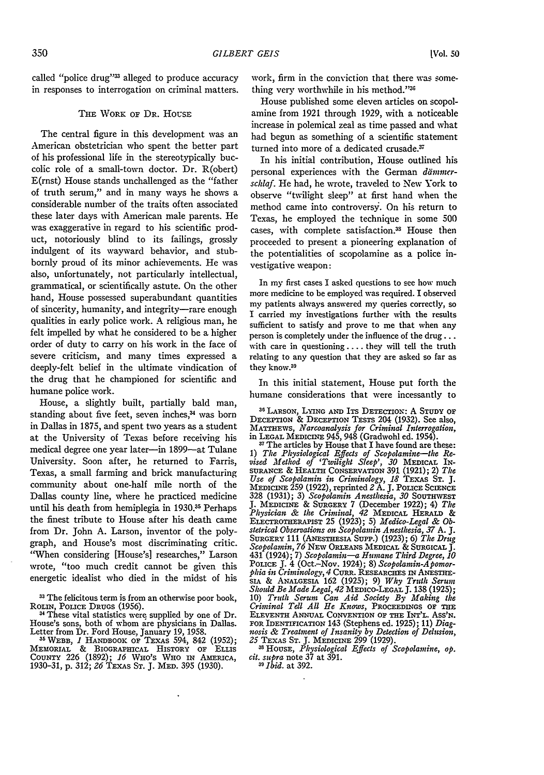called "police drug"<sup>33</sup> alleged to produce accuracy in responses to interrogation on criminal matters.

#### THE WORK OF DR. HOUSE

The central figure in this development was an American obstetrician who spent the better part of his professional life in the stereotypically buccolic role of a small-town doctor. Dr. R(obert) E(rnst) House stands unchallenged as the "father of truth serum," and in many ways he shows a considerable number of the traits often associated these later days with American male parents. He was exaggerative in regard to his scientific product, notoriously blind to its failings, grossly indulgent of its wayward behavior, and stubbornly proud of its minor achievements. He was also, unfortunately, not particularly intellectual, grammatical, or scientifically astute. On the other hand, House possessed superabundant quantities of sincerity, humanity, and integrity-rare enough qualities in early police work. A religious man, he felt impelled by what he considered to be a higher order of duty to carry on his work in the face of severe criticism, and many times expressed a deeply-felt belief in the ultimate vindication of the drug that he championed for scientific and humane police work.

House, a slightly built, partially bald man, standing about five feet, seven inches,<sup>34</sup> was born in Dallas in 1875, and spent two years as a student at the University of Texas before receiving his medical degree one year later-in 1899-at Tulane University. Soon after, he returned to Farris, Texas, a small farming and brick manufacturing community about one-half mile north of the Dallas county line, where he practiced medicine until his death from hemiplegia in 1930.<sup>35</sup> Perhaps the finest tribute to House after his death came from Dr. John A. Larson, inventor of the polygraph, and House's most discriminating critic. "When considering [House's] researches," Larson wrote, "too much credit cannot be given this energetic idealist who died in the midst of his

**3** The felicitous term is from an otherwise poor book, **ROLIN,** POLICE **DRUGS** (1956).

<sup>34</sup> These vital statistics were supplied by one of Dr. House's sons, both of whom are physicians in Dallas. Letter from Dr. Ford House, January 19, 1958. **<sup>35</sup>**WEBB, *I* **HANDBOOK** OF TEXAS 594, 842 **(1952);**

MEMORIAL & BIOGRAPHICAL HISTORY OF **ELLIS COUNTY** 226 (1892); *16* **WHO's** WHO **IN** AMERICA, 1930-31, p. 312; *26* TEXAs **ST.** J. MED. 395 (1930).

work, firm in the conviction that there was something very worthwhile in his method."36

House published some eleven articles on scopolamine from 1921 through 1929, with a noticeable increase in polemical zeal as time passed and what had begun as something of a scientific statement turned into more of a dedicated crusade. $\frac{37}{2}$ 

In his initial contribution, House outlined his personal experiences with the German *ddmmcrschlaf.* He had, he wrote, traveled to New York to observe "twilight sleep" at first hand when the method came into controversy'. On his return to Texas, he employed the technique in some 500 cases, with complete satisfaction.<sup>35</sup> House then proceeded to present a pioneering explanation of the potentialities of scopolamine as a police investigative weapon:

In my first cases I asked questions to see how much more medicine to be employed was required. I observed my patients always answered my queries correctly, so I carried my investigations further with the results sufficient to Satisfy and prove to me that when any person is completely under the influence of the drug... with care in questioning .... they will tell the truth relating to any question that they are asked so far as they know.<sup>39</sup>

In this initial statement, House put forth the humane considerations that were incessantly to

**<sup>36</sup>**LARSON, **LYING AND** ITS **DETECTION:** A **STUDY OF** DECEPTION & DECEPTION TESTS 204 (1932). See also,<br>MATTHEWS, *Narcoanalysis for Criminal Interrogation*,<br>in LEGAL MEDICINE 945, 948 (Gradwohl ed. 1954).

**<sup>3</sup>**The articles by House that I have found are these: 1) *The Physiological Effects of Scopolamine-the Re-vised Method of 'Twilight Sleep', 30* **MEDICAL IN-**SURANCE & **HEALTH** CONSERVATION 391 (1921); 2) *The Use of Scopolamin in Criminology, 18* TEXAS **ST.** J. **MEDICINE** 259 (1922), reprinted *2* **A. J.** POLICE **SCIENCE** 328 (1931); 3) Scopolamin Anesthesia, 30 SOUTHWEST<br>J. MEDICINE & SURGERY 7 (December 1922); 4) The<br>Physician & the Criminal, 42 MEDICAL HERALD &<br>ELECTROTHERAPIST 25 (1923); 5) Medico-Legal & Ob*stetrical Observations on Scopolamin Anesthesia, 37* A. *J.* SURGERY 111 (ANESTHESIA SuPP.) (1923); 6) *The Drug Scopolamin, 76* NEw ORLEANs MEDICAL & **SURGICAL** *].* 431 (1924); 7) *Scopolamin-a Humane Third Degree, 10* POLICE J. 4 (Oct.-Nov. 1924); 8) *Scopolamin-Apomor-*<br>*phia in Criminology, 4* CURR. RESEARCHES IN ANESTHE-SIA & **ANALGESIA** 162 (1925); 9) *Why Truth Serum Shoauld Be Made Legal, 42* MEDICO-LEGAL **J.** 138 (1925); 10) *Truth Serum Can Aid Society By Making the Criminal Tell All He Knows,* PROCEEDINGS OF **THE ELEVENTH** ANNUAL **CONVENTION OF** THE **INT'L. ASS'N. FOR** IDENTIFICATION 143 (Stephens ed. 1925); **11)** *Diagnosis & Treatment of Insanity by Detection of Delusion, 25* **TEXAS** ST. **J.** MEDICINE 299 (1929).

**\*1** HOUSE, *Physiological Effects of Scopolamine, op. cit. supra* note 37 at 391.

**39** *Ibid.* at 392.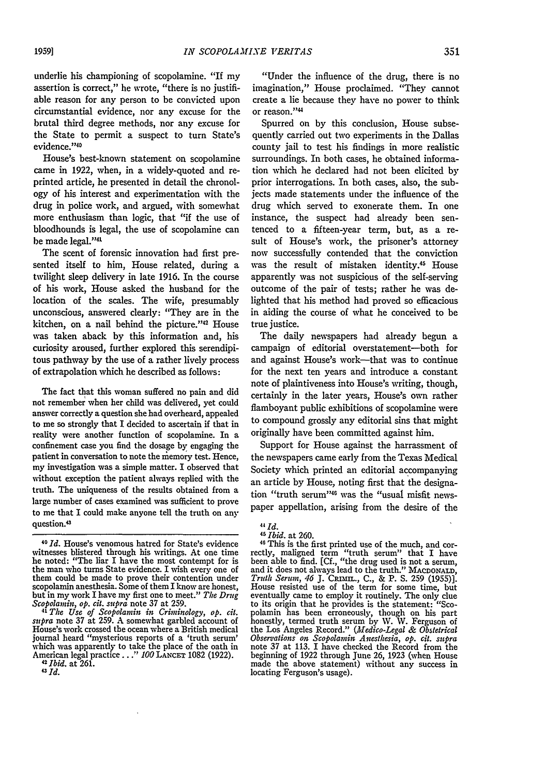underlie his championing of scopolamine. "If my assertion is correct," he wrote, "there is no justifiable reason for any person to be convicted upon circumstantial evidence, nor any excuse for the brutal third degree methods, nor any excuse for the State to permit a suspect to turn State's evidence."40

House's best-known statement on scopolamine came in 1922, when, in a widely-quoted and reprinted article, he presented in detail the chronology of his interest and experimentation with the drug in police work, and argued, with somewhat more enthusiasm than logic, that "if the use of bloodhounds is legal, the use of scopolamine can be made legal."<sup>41</sup>

The scent of forensic innovation had first presented itself to him, House related, during a twilight sleep delivery in late 1916. In the course of his work, House asked the husband for the location of the scales. The wife, presumably unconscious, answered clearly: "They are in the kitchen, on a nail behind the picture."<sup>42</sup> House was taken aback by this information and, his curiosity aroused, further explored this serendipitous pathway by the use of a rather lively process of extrapolation which he described as follows:

The fact that this woman suffered no pain and did not remember when her child was delivered, yet could answer correctly a question she bad overheard, appealed to me so strongly that I decided to ascertain if that in reality were another function of scopolamine. In a confinement case you find the dosage by engaging the patient in conversation to note the memory test. Hence, my investigation was a simple matter. I observed that without exception the patient always replied with the truth. The uniqueness of the results obtained from a large number of cases examined was sufficient to prove to me that I could make anyone tell the truth on any question.<sup>43</sup>

"Under the influence of the drug, there is no imagination," House proclaimed. "They cannot create a lie because they have no power to think or reason."<sup>44</sup>

Spurred on **by** this conclusion, House subsequently carried out two experiments in the Dallas county jail to test his findings in more realistic surroundings. In both cases, he obtained information which he declared had not been elicited **by** prior interrogations. In both cases, also, the subjects made statements under the influence of the drug which served to exonerate them. In one instance, the suspect had already been sentenced to a fifteen-year term, but, as a result of House's work, the prisoner's attorney now successfully contended that the conviction was the result of mistaken identity.45 House apparently was not suspicious of the self-serving outcome of the pair of tests; rather he was delighted that his method had proved so efficacious in aiding the course of what he conceived to be true justice.

The daily newspapers had already begun a campaign of editorial overstatement-both for and against House's work--that was to continue for the next ten years and introduce a constant note of plaintiveness into House's writing, though, certainly in the later years, House's own rather flamboyant public exhibitions of scopolamine were to compound grossly any editorial sins that might originally have been committed against him.

Support for House against the harrassment of the newspapers came early from the Texas Medical Society which printed an editorial accompanying an article by House, noting first that the designation "truth serum"46 was the "usual misfit newspaper appellation, arising from the desire of the

*<sup>40</sup>Id.* House's venomous hatred for State's evidence witnesses blistered through his writings. At one time he noted: "The liar I have the most contempt for is the man who turns State evidence. I wish every one of them could be made to prove their contention under scopolamin anesthesia. Some of them I know are honest, but in my work I have my first one to meet." The Drug *Scopolaynin, op. cit. supra* note **37** at 259.

*<sup>41</sup> The Use of Scopolamin in Criminology, op. cit. supra* note 37 at 259. **A** somewhat garbled account of House's work crossed the ocean where a British medical journal heard "mysterious reports of a 'truth serum' which was apparently to take the place of the oath in American *<sup>4</sup>* legal practice **... "** *100* **LANCET** 1082 **(1922).** *2 Ibid.* at 261.

*<sup>43</sup> Id.*

*<sup>44</sup> Id.*<br>*45 Ibid.* at 260.

<sup>&</sup>lt;sup>45</sup>*Ibid.* at 260.<br><sup>46</sup>This is the first printed use of the much, and cor-<br>rectly, maligned term "truth serum" that I have<br>been able to find. [Cf., "the drug used is not a serum, and it does not always lead to the truth." MACDONALD, *Truth Serumn, 46* **J.** CRImn.., **C.,** & P. **S.** 259 (1955)]. House resisted use of the term for some time, but eventually came to employ it routinely. The only clue to its origin that he provides is the statement: "Scopolamin has been erroneously, though on his part honestly, termed truth serum **by W. W.** Ferguson of the Los Angeles Record." *(lIedico-Legal & Obstetrical Obserations on Scopolantin Anesthesia, op. cit. supra* note 37 at 113. I have checked the Record from the beginning of 1922 through June 26, 1923 (when House made the above statement) without any success in locating Ferguson's usage).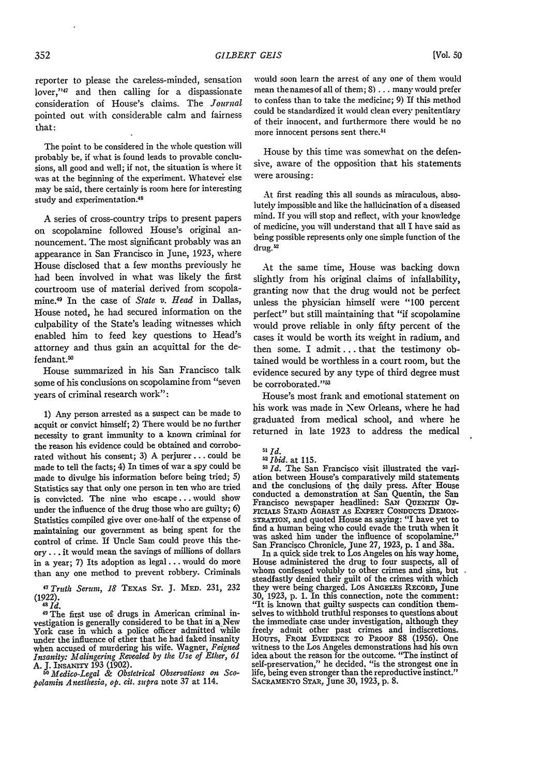reporter to please the careless-minded, sensation lover,"47 and then calling for a dispassionate consideration of House's claims. The *Journal* pointed out with considerable calm and fairness that:

The point to be considered in the whole question will probably be, if what is found leads to provable conclusions, all good and well; if not, the situation is where it was at the beginning of the experiment. Whatever else may be said, there certainly is room here for interesting study and experimentation.45

A series of cross-country trips to present papers on scopolamine followed House's original announcement. The most significant probably was an appearance in San Francisco in June, 1923, where House disclosed that a few months previously he had been involved in what was likely the first courtroom use of material derived from scopolamine. 9 In the case of *State* v. *Head* in Dallas, House noted, he had secured information on the culpability of the State's leading witnesses which enabled him to feed key questions to Head's attorney and thus gain an acquittal for the defendant.<sup>50</sup>

House summarized in his San Francisco talk some of his conclusions on scopolamine from "seven years of criminal research work":

1) Any person arrested as a suspect can be made to acquit or convict himself; 2) There would be no further necessity to grant immunity to a known criminal for the reason his evidence could be obtained and corroborated without his consent; 3) A perjurer **...** could be made to tell the facts; 4) In times of war a spy could be made to divulge his information before being tried; 5) Statistics say that only one person in ten who are tried is convicted. The nine who escape... would show under the influence of the drug those who are guilty; 6) Statistics compiled give over one-half of the expense of maintaining our government as being spent for the control of crime. If Uncle Sam could prove this theory **...** it would mean the savings of millions of dollars in a year; 7) Its adoption as legal **...** would do more than any one method to prevent robbery. Criminals

**7** Truth *Serum, 18* **TEXAS ST. J.** MD. 231, 232  $(1922)$ .<br><sup>48</sup>*Id.* 

<sup>49</sup> The first use of drugs in American criminal investigation is generally considered to be that in a New York case in which a police officer admitted 'while under the influence of ether that he had faked insanity when accused of murdering his wife. Wagner, *Feigned Insanity: Malingering Revealed by the Use of Ether, 61*

A. **J.** INSANITY 193 (1902). *5 Medico-Legal & Obstetrical Observations on Scopolamin Anesthesia, op. cit. supra* note 37 at 114.

would soon learn the arrest of any one of them would mean the names of all of them; **8)** ... many would prefer to confess than to take the medicine; **9)** If this method could be standardized it would clean every penitentiary of their innocent, and furthermore there would be no more innocent persons sent there.<sup>5</sup>

House *by* this time was somewhat on the defensive, aware of the opposition that his statements were arousing:

At first reading this all sounds as miraculous, absolutely impossible and like the halhicination of a diseased mind. If you will stop and reflect, with your knowledge of medicine, you will understand that all I have said as being possible represents only one simple function of the drug.<sup>52</sup>

At the same time, House was backing down slightly from his original claims of infallability, granting now that the drug would not be perfect unless the physician himself were **"100** percent perfect" but still maintaining that "if scopolamine would prove reliable in only fifty percent of the cases it would be worth its weight in radium, and then some. I admit **...** that the testimony obtained would be worthless in a court room, but the evidence secured by any type of third degree must be corroborated."<sup>53</sup>

House's most frank and emotional statement on his work was made in New Orleans, where he had graduated from medical school, and where he returned in late 1923 to address the medical

<sup>53</sup> *Id.* The San Francisco visit illustrated the variation between House's comparatively mild statements and the conclusions of the daily press. After House conducted a demonstration at San Quentin, the San Francisco newspaper headlined: **SAN QUENTIN Op-FICIALS STAND AGHAST AS** EXPERT **CONDUCTS** DEMONsTRATioN, and quoted House as saying: "I have yet to find a human being who could evade the truth when it was asked him under the influence of scopolamine." San Francisco Chronicle, June 27, 1923, **p.** 1 and 38a. In a quick side trek to Los Angeles on his way home,

House administered the drug to four suspects, all of whom confessed volubly to other crimes and sins, but steadfastly denied their guilt of the crimes with which they were being charged. Los ANGEIES **REcoRD,** June 30, 1923, p. 1. In this connection, note the comment: "It is known that guilty suspects can condition themselves to withhold truthful responses to questions about the immediate case under investigation, although they freely admit other past crimes and indiscretions. HouTs, **FROM EVIDENCE TO PROOF** 88 (1956). One witness to the Los Angeles demonstrations had his own idea about the reason for the outcome. "The instinct of self-preservation," he decided. "is the strongest one in life, being even stronger than the reproductive instinct.' **SACRAMENO STAR,** June 30, 1923, p. 8.

**<sup>51</sup>** *Id.*  $52$  *Ibid.* at 115.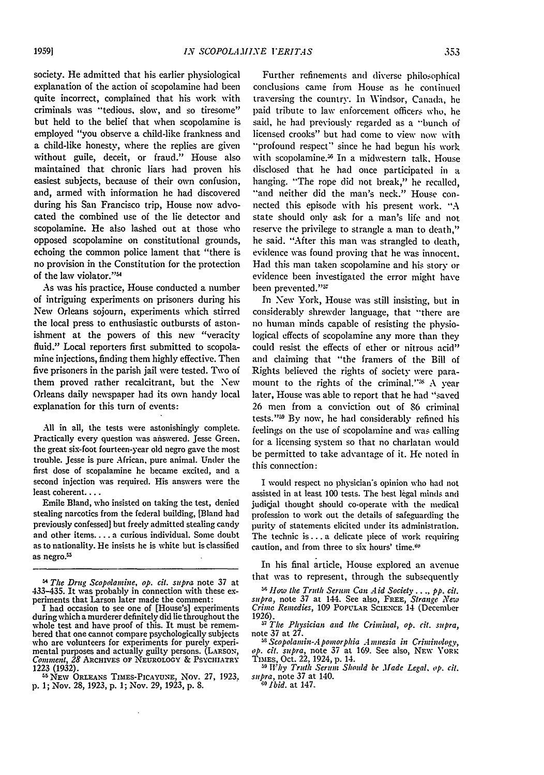society. He admitted that his earlier physiological explanation of the action of scopolamine had been quite incorrect, complained that his work with criminals was "tedious, slow, and so tiresome" but held to the belief that when scopolamine is employed "you observe a child-like frankness and a child-like honesty, where the replies are given without guile, deceit, or fraud." House also maintained that chronic liars had proven his easiest subjects, because of their own confusion, and, armed with information he had discovered during his San Francisco trip, House now advocated the combined use of the lie detector and scopolamine. He also lashed out at those who opposed scopolamine on constitutional grounds, echoing the common police lament that "there is no provision in the Constitution for the protection of the law violator."'

As was his practice, House conducted a number of intriguing experiments on prisoners during his New Orleans sojourn, experiments which stirred the local press to enthusiastic outbursts of astonishment at the powers of this new "veracity fluid." Local reporters first submitted to scopolamine injections, finding them highly effective. Then five prisoners in the parish jail were tested. Two of them proved rather recalcitrant, but the New Orleans daily newspaper had its own handy local explanation for this turn of events:

All in all, the tests were astonishingly complete. Practically every question was answered. Jesse Green. the great six-foot fourteen-year old negro gave the most trouble. Jesse is pure African. pure animal. Under the first dose of scopalamine he became excited, and a second injection was required. His answers were the least coherent....

Emile Bland, who insisted on taking the test, denied stealing narcotics from the federal building, [Bland had previously confessed] but freely admitted stealing candy and other items.... a curious individual. Some doubt as to nationality. He insists he is white but is classified as negro.<sup>55</sup>

Further refinements and diverse philosophical conclusions came from House as he continued traversing the country'. In Windsor, Canada, he paid tribute to law enforcement officers who, he said, he had previously regarded as a "bunch of licensed crooks" but had come to view now with "profound respect" since he had begun his work with scopolamine.<sup>36</sup> In a midwestern talk. House disclosed that he had once participated in a hanging. "The rope did not break," he recalled, "and neither did the man's neck." House connected this episode with his present work. "A state should only ask for a man's life and not reserve the privilege to strangle a man to death," he said. "After this man was strangled to death, evidence was found proving that he was innocent. Had this man taken scopolamine and his story or evidence been investigated the error might have been prevented." I

In New York, House was still insisting, but in considerably shrewder language, that "there are no human minds capable of resisting the physiological effects of scopolamine any more than they could resist the effects of ether or nitrous acid" and claiming that "the framers of the Bill of Rights believed the rights of society were paramount to the rights of the criminal."<sup>8</sup> A year later, House was able to report that he had "saved 26 men from a conviction out of **86** criminal tests."<sup>39</sup> By now, he had considerably refined his feelings on the use of scopolamine and was calling for a licensing system so that no charlatan would be permitted to take advantage of it. He noted in this connection:

I would respect no physician's opinion who had not assisted in at least 100 tests. The best legal minds and judicjal thought should co-operate with the medical profession to work out the details of safeguarding the purity of statements elicited under its administration. The technic is **...** a delicate piece of work requiring caution, and from three to six hours' time.<sup>60</sup>

In his final article, House explored an avenue that was to represent, through the subsequently

<sup>56</sup> How the Truth Serum Can *Aid Society* ..., pp. cit. supra, note 37 at 144. See also, FREE, *Strange New* Crime Remedies, 109 POPULAR SCIENCE 14 (December *Crime Remedies,* 109 POPULAR SCIENCE 14 (December<br>1926).

*r, The Physician and the Criminal, op. cit. supra,* note 37 at 27.

*Scopolanin-Apontorphia* Amnesia *in Criminology, op. cit. supra,* note 37 at 169. See also, **NFW** YoRK TimES, Oct. 22, 1924, p. 14.

**59** *Why Truth Serum Should* be *.lfade Legal, op. cit. supra,* note 37 at 140. *<sup>60</sup>Ibid.* at 147.

*<sup>4</sup> The Drug Scopolamtine, op. cit. supra* note 37 at 433-435. It was probably in connection with these ex- periments that Larson later made the comment:

I had occasion to see one of [House's] experiments during which a murderer definitely did lie throughout the whole test and have proof of this. It must be remem-<br>bered that one cannot compare psychologically subjects<br>who are volunteers for experiments for purely experimental purposes and actually guilty persons. (LARSON, *Comment*, 28 ARCHIVES OF NEUROLOGY & PSYCHIATRY 1223 (1932).

<sup>&</sup>lt;sup>55</sup> NEW ORLEANS TIMES-PICAYUNE, NOV. 27, 1923. **p.** 1; Nov. 28, 1923, p. 1; Nov. 29, 1923, p. 8.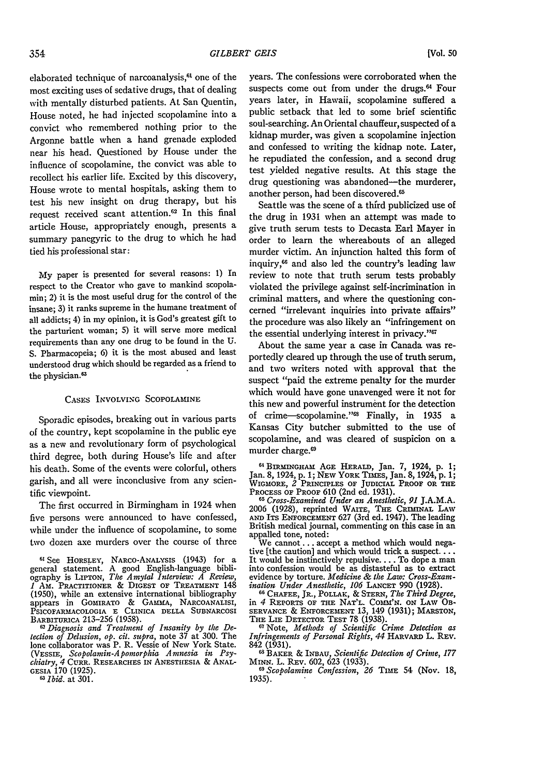**[Vol. 50**

elaborated technique of narcoanalysis,<sup>61</sup> one of the most exciting uses of sedative drugs, that of dealing with mentally disturbed patients. At San Quentin, House noted, he had injected scopolamine into a convict who remembered nothing prior to the Argonne battle when a hand grenade exploded near his head. Questioned **by** House under the influence of scopolamine, the convict was able to recollect his earlier life. Excited **by** this discovery, House wrote to mental hospitals, asking them to test his new insight on drug therapy, but his request received scant attention.62 In this final article House, appropriately enough, presents a summary panegyric to the drug to which he had tied his professional star:

**My** paper is presented for several reasons: 1) In respect to the Creator who gave to mankind scopolamin; 2) it is the most useful drug for the control of the insane; 3) it ranks supreme in the humane treatment of all addicts; 4) in my opinion, it is God's greatest gift to the parturient woman; 5) it will serve more medical requirements than any one drug to be found in the U. **S.** Pharmacopeia; 6) it is the most abused and least understood drug which should be regarded as a friend to the physician.<sup>63</sup>

#### CASES INVOLVING SCOPOLAMINE

Sporadic episodes, breaking out in various parts of the country, kept scopolamine in the public eye as a new and revolutionary form of psychological third degree, both during House's life and after his death. Some of the events were colorful, others garish, and all were inconclusive from any scientific viewpoint.

The first occurred in Birmingham in 1924 when five persons were announced to have confessed, while under the influence of scopolamine, to some two dozen axe murders over the course of three

*62Diagnosis and Treatment of Insanity by the Detection of Delusion, op. cit. supra,* note 37 at 300. The lone collaborator was P. R. Vessie of New York State. (VEssIE, *Scopolamin-Apomorphia Amnesia in Psy-chiatry, 4* CumR. RESEARCHES IN ANESTHESIA & ANAL-GESIA 170 (1925). years. The confessions were corroborated when the suspects come out from under the drugs.<sup>64</sup> Four years later, in Hawaii, scopolamine suffered a public setback that led to some brief scientific soul-searching. An Oriental chauffeur, suspected of a kidnap murder, was given a scopolamine injection and confessed to writing the kidnap note. Later, he repudiated the confession, and a second drug test yielded negative results. At this stage the drug questioning was abandoned-the murderer, another person, had been discovered.65

Seattle was the scene of a third publicized use of the drug in 1931 when an attempt was made to give truth serum tests to Decasta Earl Mayer in order to learn the whereabouts of an alleged murder victim. An injunction halted this form of inquiry, 66 and also led the country's leading law review to note that truth serum tests probably violated the privilege against self-incrimination in criminal matters, and where the questioning concerned "irrelevant inquiries into private affairs" the procedure was also likely an "infringement on the essential underlying interest in privacy."<sup>67</sup>

About the same year a case in Canada was reportedly cleared up through the use of truth serum, and two writers noted with approval that the suspect "paid the extreme penalty for the murder which would have gone unavenged were it not for this new and powerful instrument for the detection of crime-scopolamine."<sup>88</sup> Finally, in 1935 a Kansas City butcher submitted to the use of scopolamine, and was cleared of suspicion on a murder charge.6

61BIRMINGHAM AGE HERALD, Jan. 7, 1924, **p. 1;** Jan. 8, 1924, p. 1; NEw YORK TIMES, Jan. 8, 1924, p. 1; WIGMoRE, *2* PRINCIPLES OF **JUDICIAL** PROOF OR **THE** PROCESS OF PROOF **610** (2nd **ed.** 1931).

*<sup>65</sup>Cross-Examined Under an Anesthetic, 91* J.A.M.A. 2006 (1928), reprinted WAITE, THE CRIMINAL LAW AND ITS ENFORCEMENT 627 (3rd ed. 1947). The leading British medical journal, commenting on this case in an

appalled tone, noted:<br>
We cannot ... accept a method which would nega-<br>
tive [the caution] and which would trick a suspect.... It would be instinctively repulsive.... To dope a man into confession would be as distasteful as to extract evidence by torture. *Medicine & the Law: Cross-Examination Under Anesthetic, 106 LANCET 990 (1928).* 

<sup>66</sup> CHAFEE, JR., POLLAK, & STERN, The Third Degree, in 4 REPORTS OF THE NAT'L. COMM'N. OB-SERVANCE & ENFORCEMENT 13, 149 (1931); MARSTON, THE LIE DETECTOR TEST 78 (1938)

**<sup>6</sup>**Note, *Methods of Scientific Crime Detection as Infringements of Personal Rights, 44* HARVARD L. REV.

842 (1931).<br>L<sup>68</sup> BAKER & INBAU, *Scientific Detection of Crime, 177*<br>MINN. L. REv. 602, 623 (1933). *<sup>69</sup>Scopolamine Confession, 26* TIME 54 (Nov. 18,

1935).

**<sup>61</sup>** See HORSLEY, NARco-ANALYSIS (1943) for a general statement. A good English-language bibli-ography is LIPTON, *The Amytal Interview. A Review, I* AM. PRACTITIONER *&* DIGEST **OF** TREATMENT 148 (1950), while an extensive international bibliography appears in GOMIRATO & GAMMA, NARCOANALISI, PSICOFARMACOLOGIA E CLINICA **DELLA** SUBNARCOSI BARBITURICA 213-256 (1958).

**<sup>6</sup>***Ibid.* at 301.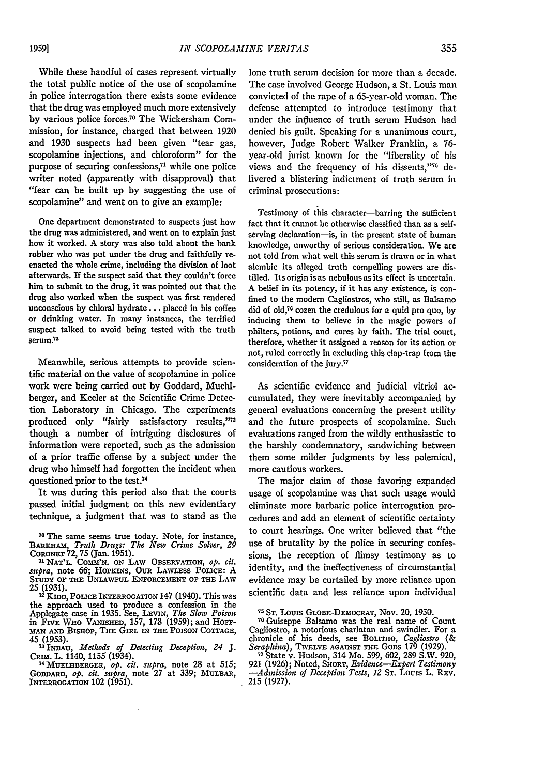While these handful of cases represent virtually the total public notice of the use of scopolamine in police interrogation there exists some evidence that the drug was employed much more extensively by various police forces." The Wickersham Commission, for instance, charged that between 1920 and 1930 suspects had been given "tear gas, scopolamine injections, and chloroform" for the purpose of securing confessions,<sup>71</sup> while one police writer noted (apparently with disapproval) that "fear can be built up by suggesting the use of scopolamine" and went on to give an example:

One department demonstrated to suspects just how the drug was administered, and went on to explain just how it worked. A story was also told about the bank robber who was put under the drug and faithfully reenacted the whole crime, including the division of loot afterwards. If the suspect said that they couldn't force him to submit to the drug, it was pointed out that the drug also worked when the suspect was first rendered unconscious by chloral hydrate **...** placed in his coffee or drinking water. In many instances, the terrified suspect talked to avoid being tested with the truth serum.<sup>72</sup>

Meanwhile, serious attempts to provide scientific material on the value of scopolamine in police work were being carried out by Goddard, Muehlberger, and Keeler at the Scientific Crime Detection Laboratory in Chicago. The experiments produced only "fairly satisfactory results,"73 though a number of intriguing disclosures of information were reported, such as the admission of a prior traffic offense by a subject under the drug who himself had forgotten the incident when questioned prior to the test.<sup>74</sup>

It was during this period also that the courts passed initial judgment on this new evidentiary technique, a judgment that was to stand as the

**25 (1931). 72 KIDD, POLICE** INTERROGATION 147 (1940). This was the approach used to produce a confession in the Applegate case in 1935. See, LEVIN, *The Slow Poison* in **FIVE** WHO VANisnED, 157, 178 (1959); and HoFF-*MAN* **AND** BISHOP, THE GIRL **1N -TE POISON COTTAGE,**

45 (1953).<br><sup>73</sup> INBAU, *Methods of Detecting Deception, 24* J.<br>CRIM. L. 1140, 1155 (1934).

**MUELHHBERGER,** *op. cit. supra,* note **28** at 515; **GODDARD,** *op. cit. supra,* note 27 at 339; MULBAR, INTERROGATION 102 (1951).

lone truth serum decision for more than a decade. The case involved George Hudson, a St. Louis man convicted of the rape of a 65-year-old woman. The defense attempted to introduce testimony that under the influence of truth serum Hudson had denied his guilt. Speaking for a unanimous court, however, Judge Robert Walker Franklin, a 76 year-old jurist known for the "liberality of his views and the frequency of his dissents,"75 delivered a blistering indictment of truth serum in criminal prosecutions:

Testimony of this character-barring the sufficient fact that it cannot be otherwise classified than as a selfserving declaration-is, in the present state of human knowledge, unworthy of serious consideration. We are not told from what well this serum is drawn or in what alembic its alleged truth compelling powers are distilled. Its origin is as nebulous as its effect is uncertain. A belief in its potency, if it has any existence, is confined to the modern Cagliostros, who still, as Balsamo did of old,<sup>76</sup> cozen the credulous for a quid pro quo, by inducing them **to** believe in the magic powers of philters, potions, and cures by faith. The trial court, therefore, whether it assigned a reason for its action or not, ruled correctly in excluding this clap-trap from the consideration of the jury. $77$ 

As scientific evidence and judicial vitriol accumulated, they were inevitably accompanied by general evaluations concerning the present utility and the future prospects of scopolamine. Such evaluations ranged from the wildly enthusiastic to the harshly condemnatory, sandwiching between them some milder judgments by less polemical, more cautious workers.

The major claim of those favoring expanded usage of scopolamine was that such usage would eliminate more barbaric police interrogation procedures and add an element of scientific certainty to court hearings. One writer believed that "the use of brutality by the police in securing confessions, the reception of flimsy testimony as to identity, and the ineffectiveness of circumstantial evidence may be curtailed by more reliance upon scientific data and less reliance upon individual

**<sup>70</sup>**The same seems true today. Note, for instance, BARKHAM, *Truth Drugs: The New Crime Solver*, 29

**CORONET** 72, 75 (Jan. 1951). **71 NAT'L. Coa'N. ON** LAW **OBSERVATION,** *Op. cit. supra,* note **66; HOPKINS,** OUR **LAWLESS PoLicE:** A **STUDY OF THE UNLAw tux ENFORCEMENT OF THE LAW**

**<sup>75</sup> ST. Louis** GLOBE-DEMOCRAT, Nov. 20, **1930.**

**<sup>78</sup>**Guiseppe Balsamo was the real name of Count Cagliostro, a notorious charlatan and swindler. For a chronicle of his deeds, see BOLITHO, *Cagliostro (& Seraphina),* TWELVE **AGAINST THE** GODS **179** (1929). **77** State v. Hudson, 314 Mo. 599, 602, 289 S.W. 920,

<sup>921 (1926);</sup> Noted, **SHORT,** *Evidence-Expert Testimony -Admission of Deception Tests, 12* **ST.** Lou is L. REv. 215 (1927).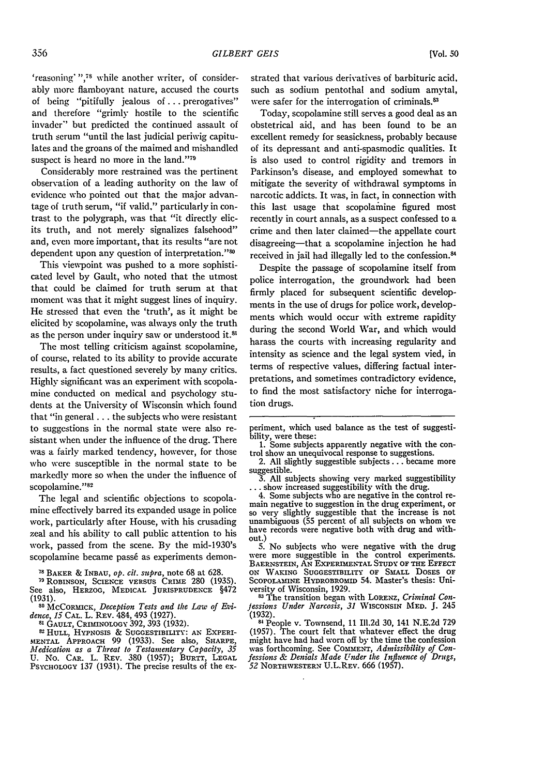**[Vol. so**

'reasoning' **",78** while another writer, of considerably more flamboyant nature, accused the courts of being "pitifully jealous of... prerogatives" and therefore "grimly hostile to the scientific invader" but predicted the continued assault of truth serum "until the last judicial periwig capitulates and the groans of the maimed and mishandled suspect is heard no more in the land."<sup>79</sup>

Considerably more restrained was the pertinent observation of a leading authority on the law of evidence who pointed out that the major advantage of truth serum, "if valid," particularly in contrast to the polygraph, was that "it directly elicits truth, and not merely signalizes falsehood" and, even more important, that its results "are not dependent upon any question of interpretation."<sup>8</sup>

This viewpoint was pushed to a more sophisticated level by Gault, who noted that the utmost that could be claimed for truth serum at that moment was that it might suggest lines of inquiry. He stressed that even the 'truth', as it might be elicited by scopolamine, was always only the truth as the person under inquiry saw or understood it.81

The most telling criticism against scopolamine, of course, related to its ability to provide accurate results, a fact questioned severely by many critics. Highly significant was an experiment with scopolamine conducted on medical and psychology students at the University of Wisconsin which found that "in general **...** the subjects who were resistant to suggestions in the normal state were also resistant when under the influence of the drug. There was a fairly marked tendency, however, for those who were susceptible in the normal state to be markedly more so when the under the influence of scopolamine."<sup>82</sup>

The legal and scientific objections to scopolamine effectively barred its expanded usage in police work, particularly after House, with his crusading zeal and his ability to call public attention to his work, passed from the scene. By the mid-1930's scopolamine became passe as experiments demon-

**<sup>78</sup>**BAKER & **INBAU,** *op. cit. supra,* note 68 at **628.**

- **,9 ROBINSON, SCIENCE VERSUS** CRIME 280 (1935). See also, **HERZOG,** MEDICAL JURISPRUDENCE §472 (1931).
- **80** McComcK, *Deception* Tests *and* the *Law of Evidence, 15* CAL. L. REV. 484, 493 (1927). **<sup>81</sup>**GAULT, **CRIMINOLOGY** 392, 393 (1932). **<sup>8</sup>**

**2 HULL, HYPNOSIS** *&* **SUGGESTIBILITY: AN EXPERI-MENTAL** APPROACH 99 (1933). See also, SHARPE, *Medication as a Threat to Testamentary Capacity, 35*<br>U. No. CAR. L. REV. 380 (1957); BURTT, LEGAL<br>Psychology 137 (1931). The precise results of the exstrated that various derivatives of barbituric acid. such as sodium pentothal and sodium amytal, were safer for the interrogation of criminals.<sup>83</sup>

Today, scopolamine still serves a good deal as an obstetrical aid, and has been found to be an excellent remedy for seasickness, probably because of its depressant and anti-spasmodic qualities. It is also used to control rigidity and tremors in Parkinson's disease, and employed somewhat to mitigate the severity of withdrawal symptoms in narcotic addicts. It was, in fact, in connection with this last usage that scopolamine figured most recently in court annals, as a suspect confessed to a crime and then later claimed-the appellate court disagreeing-that a scopolamine injection he had received in jail had illegally led to the confession.<sup>84</sup>

Despite the passage of scopolamine itself from police interrogation, the groundwork had been firmly placed for subsequent scientific developments in the use of drugs for police work, developments which would occur with extreme rapidity during the second World War, and which would harass the courts with increasing regularity and intensity as science and the legal system vied, in terms of respective values, differing factual interpretations, and sometimes contradictory evidence, to find the most satisfactory niche for interrogation drugs.

periment, which used balance as the test of suggestibility, were these:<br>1. Some subjects apparently negative with the con-

<sup>1.</sup> Some subjects apparently negative with the con-<br>trol show an unequivocal response to suggestions.<br>2. All slightly suggestible subjects ... became more<br>suggestible.<br>3. All subjects showing very marked suggestibility<br>... unambiguous (55 percent of all subjects on whom we have records were negative both with drug and with-

have records were negative both with drug and with-<br>out.)<br>5. No subjects who were negative with the drug<br>were more suggestible in the control experiments. BAERNSTEIN, **AN** EXPERIHMENTAL **STUDY OF THE EFFECT ON** WAKING SUGGESTIBILITY OF SMALL **DOSES** OF **SCOPOLAMINE** HYDROBROMID 54. Master's thesis: Uni**versity** of Wisconsin, 1929.

**<sup>8</sup>** The transition began with LORENZ, *Criminal Con-Jessions Under Narcosis, 31* **WISCONSIN MED. J.** 245

<sup>(1932).</sup> **I"** People v. Townsend, 11 Ill.2d 30, 141 N.E.2d 729 (1957). The court felt that whatever effect the drug was forthcoming. See COMMENT, *Admissibility of Confessions & Denials Made Under the Influence of Drugs, 52* **NORTHWESTERN** U.L.REv. 666 (1957).